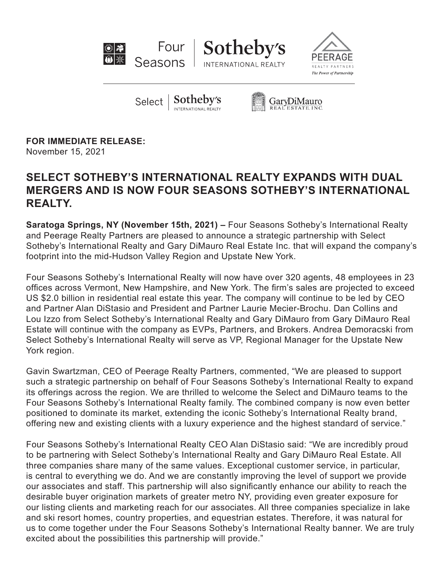





Sotheby's Select |



**FOR IMMEDIATE RELEASE:** November 15, 2021

# **SELECT SOTHEBY'S INTERNATIONAL REALTY EXPANDS WITH DUAL MERGERS AND IS NOW FOUR SEASONS SOTHEBY'S INTERNATIONAL REALTY.**

**Saratoga Springs, NY (November 15th, 2021) –** Four Seasons Sotheby's International Realty and Peerage Realty Partners are pleased to announce a strategic partnership with Select Sotheby's International Realty and Gary DiMauro Real Estate Inc. that will expand the company's footprint into the mid-Hudson Valley Region and Upstate New York.

Four Seasons Sotheby's International Realty will now have over 320 agents, 48 employees in 23 offices across Vermont, New Hampshire, and New York. The firm's sales are projected to exceed US \$2.0 billion in residential real estate this year. The company will continue to be led by CEO and Partner Alan DiStasio and President and Partner Laurie Mecier-Brochu. Dan Collins and Lou Izzo from Select Sotheby's International Realty and Gary DiMauro from Gary DiMauro Real Estate will continue with the company as EVPs, Partners, and Brokers. Andrea Demoracski from Select Sotheby's International Realty will serve as VP, Regional Manager for the Upstate New York region.

Gavin Swartzman, CEO of Peerage Realty Partners, commented, "We are pleased to support such a strategic partnership on behalf of Four Seasons Sotheby's International Realty to expand its offerings across the region. We are thrilled to welcome the Select and DiMauro teams to the Four Seasons Sotheby's International Realty family. The combined company is now even better positioned to dominate its market, extending the iconic Sotheby's International Realty brand, offering new and existing clients with a luxury experience and the highest standard of service."

Four Seasons Sotheby's International Realty CEO Alan DiStasio said: "We are incredibly proud to be partnering with Select Sotheby's International Realty and Gary DiMauro Real Estate. All three companies share many of the same values. Exceptional customer service, in particular, is central to everything we do. And we are constantly improving the level of support we provide our associates and staff. This partnership will also significantly enhance our ability to reach the desirable buyer origination markets of greater metro NY, providing even greater exposure for our listing clients and marketing reach for our associates. All three companies specialize in lake and ski resort homes, country properties, and equestrian estates. Therefore, it was natural for us to come together under the Four Seasons Sotheby's International Realty banner. We are truly excited about the possibilities this partnership will provide."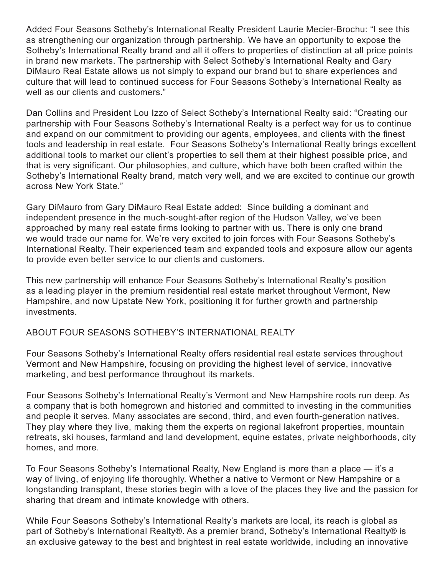Added Four Seasons Sotheby's International Realty President Laurie Mecier-Brochu: "I see this as strengthening our organization through partnership. We have an opportunity to expose the Sotheby's International Realty brand and all it offers to properties of distinction at all price points in brand new markets. The partnership with Select Sotheby's International Realty and Gary DiMauro Real Estate allows us not simply to expand our brand but to share experiences and culture that will lead to continued success for Four Seasons Sotheby's International Realty as well as our clients and customers."

Dan Collins and President Lou Izzo of Select Sotheby's International Realty said: "Creating our partnership with Four Seasons Sotheby's International Realty is a perfect way for us to continue and expand on our commitment to providing our agents, employees, and clients with the finest tools and leadership in real estate. Four Seasons Sotheby's International Realty brings excellent additional tools to market our client's properties to sell them at their highest possible price, and that is very significant. Our philosophies, and culture, which have both been crafted within the Sotheby's International Realty brand, match very well, and we are excited to continue our growth across New York State."

Gary DiMauro from Gary DiMauro Real Estate added: Since building a dominant and independent presence in the much-sought-after region of the Hudson Valley, we've been approached by many real estate firms looking to partner with us. There is only one brand we would trade our name for. We're very excited to join forces with Four Seasons Sotheby's International Realty. Their experienced team and expanded tools and exposure allow our agents to provide even better service to our clients and customers.

This new partnership will enhance Four Seasons Sotheby's International Realty's position as a leading player in the premium residential real estate market throughout Vermont, New Hampshire, and now Upstate New York, positioning it for further growth and partnership investments.

ABOUT FOUR SEASONS SOTHEBY'S INTERNATIONAL REALTY

Four Seasons Sotheby's International Realty offers residential real estate services throughout Vermont and New Hampshire, focusing on providing the highest level of service, innovative marketing, and best performance throughout its markets.

Four Seasons Sotheby's International Realty's Vermont and New Hampshire roots run deep. As a company that is both homegrown and historied and committed to investing in the communities and people it serves. Many associates are second, third, and even fourth-generation natives. They play where they live, making them the experts on regional lakefront properties, mountain retreats, ski houses, farmland and land development, equine estates, private neighborhoods, city homes, and more.

To Four Seasons Sotheby's International Realty, New England is more than a place — it's a way of living, of enjoying life thoroughly. Whether a native to Vermont or New Hampshire or a longstanding transplant, these stories begin with a love of the places they live and the passion for sharing that dream and intimate knowledge with others.

While Four Seasons Sotheby's International Realty's markets are local, its reach is global as part of Sotheby's International Realty®. As a premier brand, Sotheby's International Realty® is an exclusive gateway to the best and brightest in real estate worldwide, including an innovative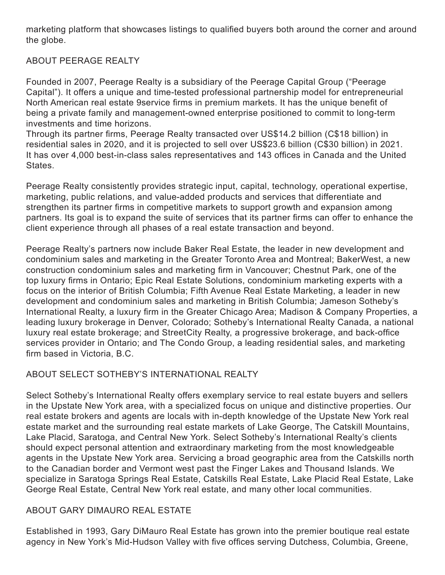marketing platform that showcases listings to qualified buyers both around the corner and around the globe.

### ABOUT PEERAGE REALTY

Founded in 2007, Peerage Realty is a subsidiary of the Peerage Capital Group ("Peerage Capital"). It offers a unique and time-tested professional partnership model for entrepreneurial North American real estate 9service firms in premium markets. It has the unique benefit of being a private family and management-owned enterprise positioned to commit to long-term investments and time horizons.

Through its partner firms, Peerage Realty transacted over US\$14.2 billion (C\$18 billion) in residential sales in 2020, and it is projected to sell over US\$23.6 billion (C\$30 billion) in 2021. It has over 4,000 best-in-class sales representatives and 143 offices in Canada and the United States.

Peerage Realty consistently provides strategic input, capital, technology, operational expertise, marketing, public relations, and value-added products and services that differentiate and strengthen its partner firms in competitive markets to support growth and expansion among partners. Its goal is to expand the suite of services that its partner firms can offer to enhance the client experience through all phases of a real estate transaction and beyond.

Peerage Realty's partners now include Baker Real Estate, the leader in new development and condominium sales and marketing in the Greater Toronto Area and Montreal; BakerWest, a new construction condominium sales and marketing firm in Vancouver; Chestnut Park, one of the top luxury firms in Ontario; Epic Real Estate Solutions, condominium marketing experts with a focus on the interior of British Columbia; Fifth Avenue Real Estate Marketing, a leader in new development and condominium sales and marketing in British Columbia; Jameson Sotheby's International Realty, a luxury firm in the Greater Chicago Area; Madison & Company Properties, a leading luxury brokerage in Denver, Colorado; Sotheby's International Realty Canada, a national luxury real estate brokerage; and StreetCity Realty, a progressive brokerage, and back-office services provider in Ontario; and The Condo Group, a leading residential sales, and marketing firm based in Victoria, B.C.

### ABOUT SELECT SOTHEBY'S INTERNATIONAL REALTY

Select Sotheby's International Realty offers exemplary service to real estate buyers and sellers in the Upstate New York area, with a specialized focus on unique and distinctive properties. Our real estate brokers and agents are locals with in-depth knowledge of the Upstate New York real estate market and the surrounding real estate markets of Lake George, The Catskill Mountains, Lake Placid, Saratoga, and Central New York. Select Sotheby's International Realty's clients should expect personal attention and extraordinary marketing from the most knowledgeable agents in the Upstate New York area. Servicing a broad geographic area from the Catskills north to the Canadian border and Vermont west past the Finger Lakes and Thousand Islands. We specialize in Saratoga Springs Real Estate, Catskills Real Estate, Lake Placid Real Estate, Lake George Real Estate, Central New York real estate, and many other local communities.

## ABOUT GARY DIMAURO REAL ESTATE

Established in 1993, Gary DiMauro Real Estate has grown into the premier boutique real estate agency in New York's Mid-Hudson Valley with five offices serving Dutchess, Columbia, Greene,